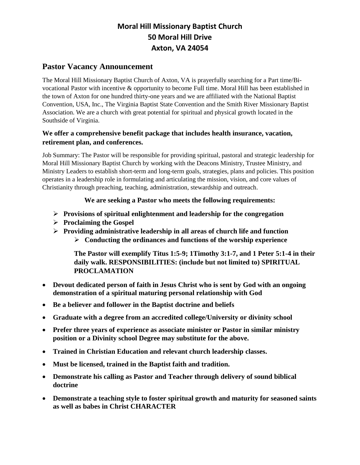# **Moral Hill Missionary Baptist Church 50 Moral Hill Drive Axton, VA 24054**

### **Pastor Vacancy Announcement**

The Moral Hill Missionary Baptist Church of Axton, VA is prayerfully searching for a Part time/Bivocational Pastor with incentive & opportunity to become Full time. Moral Hill has been established in the town of Axton for one hundred thirty-one years and we are affiliated with the National Baptist Convention, USA, Inc., The Virginia Baptist State Convention and the Smith River Missionary Baptist Association. We are a church with great potential for spiritual and physical growth located in the Southside of Virginia.

#### **We offer a comprehensive benefit package that includes health insurance, vacation, retirement plan, and conferences.**

Job Summary: The Pastor will be responsible for providing spiritual, pastoral and strategic leadership for Moral Hill Missionary Baptist Church by working with the Deacons Ministry, Trustee Ministry, and Ministry Leaders to establish short-term and long-term goals, strategies, plans and policies. This position operates in a leadership role in formulating and articulating the mission, vision, and core values of Christianity through preaching, teaching, administration, stewardship and outreach.

#### **We are seeking a Pastor who meets the following requirements:**

- ➢ **Provisions of spiritual enlightenment and leadership for the congregation**
- ➢ **Proclaiming the Gospel**
- ➢ **Providing administrative leadership in all areas of church life and function**  ➢ **Conducting the ordinances and functions of the worship experience**

**The Pastor will exemplify Titus 1:5-9; 1Timothy 3:1-7, and 1 Peter 5:1-4 in their daily walk. RESPONSIBILITIES: (include but not limited to) SPIRITUAL PROCLAMATION** 

- **Devout dedicated person of faith in Jesus Christ who is sent by God with an ongoing demonstration of a spiritual maturing personal relationship with God**
- **Be a believer and follower in the Baptist doctrine and beliefs**
- **Graduate with a degree from an accredited college/University or divinity school**
- **Prefer three years of experience as associate minister or Pastor in similar ministry position or a Divinity school Degree may substitute for the above.**
- **Trained in Christian Education and relevant church leadership classes.**
- **Must be licensed, trained in the Baptist faith and tradition.**
- **Demonstrate his calling as Pastor and Teacher through delivery of sound biblical doctrine**
- **Demonstrate a teaching style to foster spiritual growth and maturity for seasoned saints as well as babes in Christ CHARACTER**